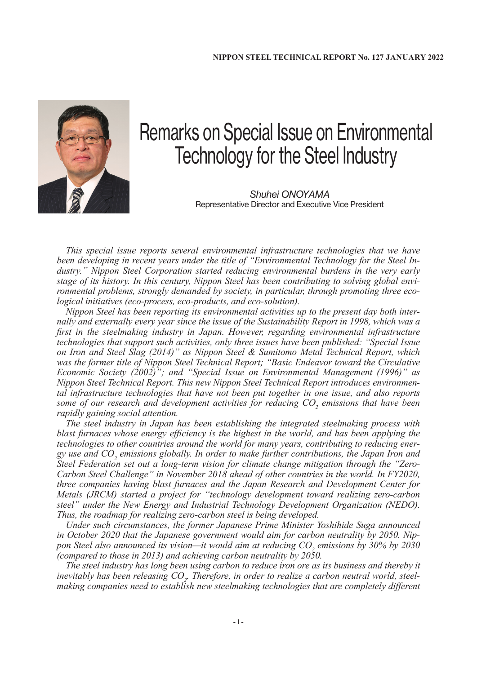

## Remarks on Special Issue on Environmental Technology for the Steel Industry

*Shuhei ONOYAMA* Representative Director and Executive Vice President

*This special issue reports several environmental infrastructure technologies that we have been developing in recent years under the title of "Environmental Technology for the Steel Industry." Nippon Steel Corporation started reducing environmental burdens in the very early stage of its history. In this century, Nippon Steel has been contributing to solving global environmental problems, strongly demanded by society, in particular, through promoting three ecological initiatives (eco-process, eco-products, and eco-solution).*

*Nippon Steel has been reporting its environmental activities up to the present day both internally and externally every year since the issue of the Sustainability Report in 1998, which was a first in the steelmaking industry in Japan. However, regarding environmental infrastructure technologies that support such activities, only three issues have been published: "Special Issue on Iron and Steel Slag (2014)" as Nippon Steel & Sumitomo Metal Technical Report, which was the former title of Nippon Steel Technical Report; "Basic Endeavor toward the Circulative Economic Society (2002)"; and "Special Issue on Environmental Management (1996)" as Nippon Steel Technical Report. This new Nippon Steel Technical Report introduces environmental infrastructure technologies that have not been put together in one issue, and also reports some of our research and development activities for reducing CO<sub>2</sub> emissions that have been rapidly gaining social attention.*

*The steel industry in Japan has been establishing the integrated steelmaking process with blast furnaces whose energy efficiency is the highest in the world, and has been applying the technologies to other countries around the world for many years, contributing to reducing ener*gy use and CO<sub>2</sub> emissions globally. In order to make further contributions, the Japan Iron and *Steel Federation set out a long-term vision for climate change mitigation through the "Zero-Carbon Steel Challenge" in November 2018 ahead of other countries in the world. In FY2020, three companies having blast furnaces and the Japan Research and Development Center for Metals (JRCM) started a project for "technology development toward realizing zero-carbon steel" under the New Energy and Industrial Technology Development Organization (NEDO). Thus, the roadmap for realizing zero-carbon steel is being developed.*

*Under such circumstances, the former Japanese Prime Minister Yoshihide Suga announced in October 2020 that the Japanese government would aim for carbon neutrality by 2050. Nip*pon Steel also announced its vision—it would aim at reducing CO<sub>2</sub> emissions by 30% by 2030 *(compared to those in 2013) and achieving carbon neutrality by 2050.*

*The steel industry has long been using carbon to reduce iron ore as its business and thereby it inevitably has been releasing CO<sub>2</sub>. Therefore, in order to realize a carbon neutral world, steelmaking companies need to establish new steelmaking technologies that are completely different*